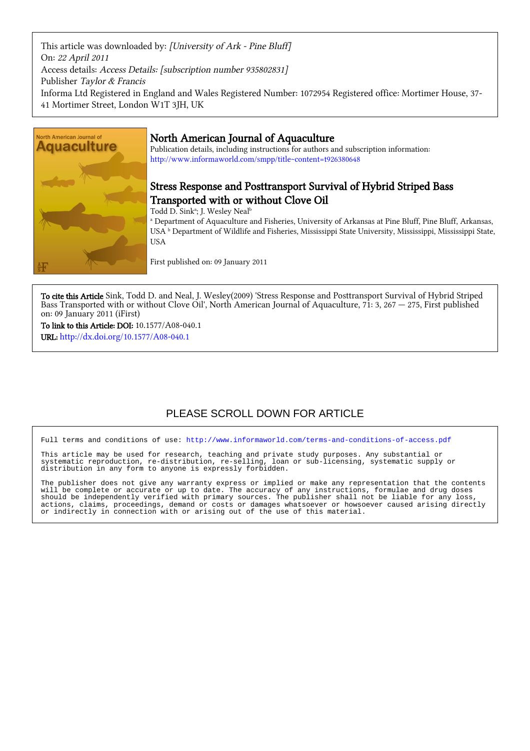This article was downloaded by: [University of Ark - Pine Bluff] On: 22 April 2011 Access details: Access Details: [subscription number 935802831] Publisher Taylor & Francis Informa Ltd Registered in England and Wales Registered Number: 1072954 Registered office: Mortimer House, 37- 41 Mortimer Street, London W1T 3JH, UK



## North American Journal of Aquaculture

Publication details, including instructions for authors and subscription information: <http://www.informaworld.com/smpp/title~content=t926380648>

## Stress Response and Posttransport Survival of Hybrid Striped Bass Transported with or without Clove Oil

Todd D. Sink<sup>a</sup>; J. Wesley Neal<sup>b</sup>

a Department of Aquaculture and Fisheries, University of Arkansas at Pine Bluff, Pine Bluff, Arkansas, USA  $^{\rm b}$  Department of Wildlife and Fisheries, Mississippi State University, Mississippi, Mississippi State, USA

First published on: 09 January 2011

To cite this Article Sink, Todd D. and Neal, J. Wesley(2009) 'Stress Response and Posttransport Survival of Hybrid Striped Bass Transported with or without Clove Oil', North American Journal of Aquaculture,  $7\hat{i}$ : 3, 267  $-$  275, First published on: 09 January 2011 (iFirst)

To link to this Article: DOI: 10.1577/A08-040.1 URL: <http://dx.doi.org/10.1577/A08-040.1>

# PLEASE SCROLL DOWN FOR ARTICLE

Full terms and conditions of use:<http://www.informaworld.com/terms-and-conditions-of-access.pdf>

This article may be used for research, teaching and private study purposes. Any substantial or systematic reproduction, re-distribution, re-selling, loan or sub-licensing, systematic supply or distribution in any form to anyone is expressly forbidden.

The publisher does not give any warranty express or implied or make any representation that the contents will be complete or accurate or up to date. The accuracy of any instructions, formulae and drug doses should be independently verified with primary sources. The publisher shall not be liable for any loss, actions, claims, proceedings, demand or costs or damages whatsoever or howsoever caused arising directly or indirectly in connection with or arising out of the use of this material.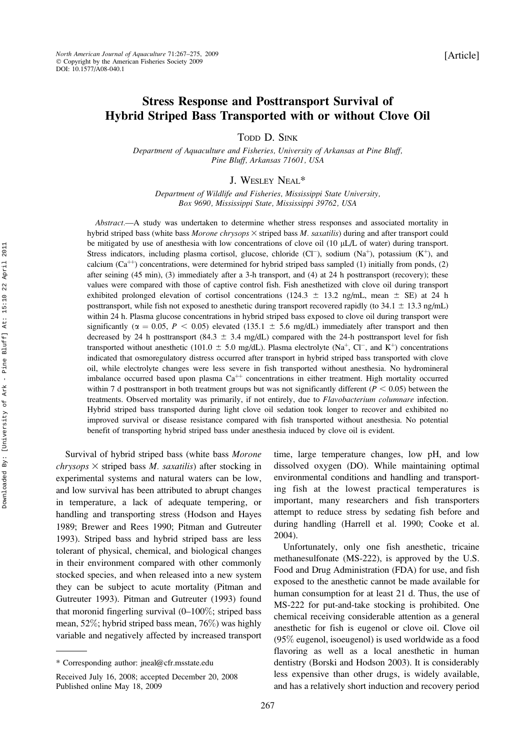### Stress Response and Posttransport Survival of Hybrid Striped Bass Transported with or without Clove Oil

TODD D. SINK

Department of Aquaculture and Fisheries, University of Arkansas at Pine Bluff, Pine Bluff, Arkansas 71601, USA

J. WESLEY NEAL\*

Department of Wildlife and Fisheries, Mississippi State University, Box 9690, Mississippi State, Mississippi 39762, USA

Abstract.—A study was undertaken to determine whether stress responses and associated mortality in hybrid striped bass (white bass  $Moreover$  chrysops  $\times$  striped bass  $M.$  saxatilis) during and after transport could be mitigated by use of anesthesia with low concentrations of clove oil (10 µL/L of water) during transport. Stress indicators, including plasma cortisol, glucose, chloride (Cl<sup>-</sup>), sodium (Na<sup>+</sup>), potassium (K<sup>+</sup>), and calcium ( $Ca<sup>++</sup>$ ) concentrations, were determined for hybrid striped bass sampled (1) initially from ponds, (2) after seining (45 min), (3) immediately after a 3-h transport, and (4) at 24 h posttransport (recovery); these values were compared with those of captive control fish. Fish anesthetized with clove oil during transport exhibited prolonged elevation of cortisol concentrations (124.3  $\pm$  13.2 ng/mL, mean  $\pm$  SE) at 24 h posttransport, while fish not exposed to anesthetic during transport recovered rapidly (to  $34.1 \pm 13.3$  ng/mL) within 24 h. Plasma glucose concentrations in hybrid striped bass exposed to clove oil during transport were significantly ( $\alpha = 0.05$ ,  $P < 0.05$ ) elevated (135.1  $\pm$  5.6 mg/dL) immediately after transport and then decreased by 24 h posttransport (84.3  $\pm$  3.4 mg/dL) compared with the 24-h posttransport level for fish transported without anesthetic (101.0  $\pm$  5.0 mg/dL). Plasma electrolyte (Na<sup>+</sup>, Cl<sup>-</sup>, and K<sup>+</sup>) concentrations indicated that osmoregulatory distress occurred after transport in hybrid striped bass transported with clove oil, while electrolyte changes were less severe in fish transported without anesthesia. No hydromineral imbalance occurred based upon plasma  $Ca^{++}$  concentrations in either treatment. High mortality occurred within 7 d posttransport in both treatment groups but was not significantly different ( $P < 0.05$ ) between the treatments. Observed mortality was primarily, if not entirely, due to Flavobacterium columnare infection. Hybrid striped bass transported during light clove oil sedation took longer to recover and exhibited no improved survival or disease resistance compared with fish transported without anesthesia. No potential benefit of transporting hybrid striped bass under anesthesia induced by clove oil is evident.

Survival of hybrid striped bass (white bass Morone chrysops  $\times$  striped bass M. saxatilis) after stocking in experimental systems and natural waters can be low, and low survival has been attributed to abrupt changes in temperature, a lack of adequate tempering, or handling and transporting stress (Hodson and Hayes 1989; Brewer and Rees 1990; Pitman and Gutreuter 1993). Striped bass and hybrid striped bass are less tolerant of physical, chemical, and biological changes in their environment compared with other commonly stocked species, and when released into a new system they can be subject to acute mortality (Pitman and Gutreuter 1993). Pitman and Gutreuter (1993) found that moronid fingerling survival  $(0-100\%;$  striped bass mean, 52%; hybrid striped bass mean, 76%) was highly variable and negatively affected by increased transport time, large temperature changes, low pH, and low dissolved oxygen (DO). While maintaining optimal environmental conditions and handling and transporting fish at the lowest practical temperatures is important, many researchers and fish transporters attempt to reduce stress by sedating fish before and during handling (Harrell et al. 1990; Cooke et al. 2004).

Unfortunately, only one fish anesthetic, tricaine methanesulfonate (MS-222), is approved by the U.S. Food and Drug Administration (FDA) for use, and fish exposed to the anesthetic cannot be made available for human consumption for at least 21 d. Thus, the use of MS-222 for put-and-take stocking is prohibited. One chemical receiving considerable attention as a general anesthetic for fish is eugenol or clove oil. Clove oil (95% eugenol, isoeugenol) is used worldwide as a food flavoring as well as a local anesthetic in human dentistry (Borski and Hodson 2003). It is considerably less expensive than other drugs, is widely available, and has a relatively short induction and recovery period

<sup>\*</sup> Corresponding author: jneal@cfr.msstate.edu

Received July 16, 2008; accepted December 20, 2008 Published online May 18, 2009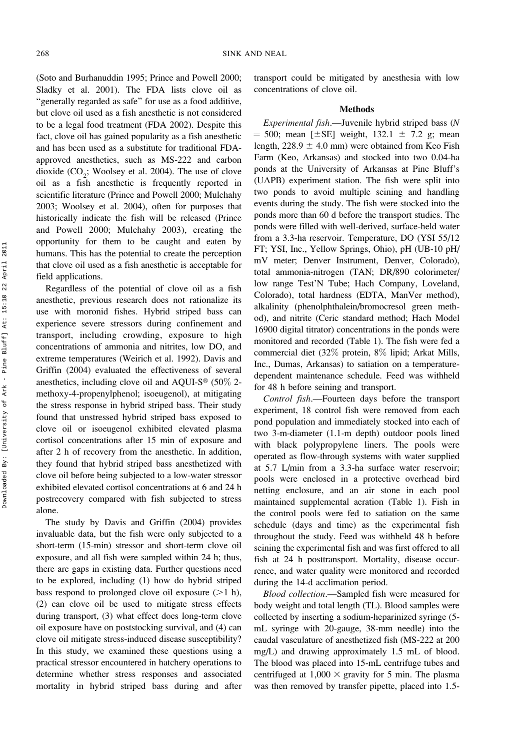(Soto and Burhanuddin 1995; Prince and Powell 2000; Sladky et al. 2001). The FDA lists clove oil as "generally regarded as safe" for use as a food additive, but clove oil used as a fish anesthetic is not considered to be a legal food treatment (FDA 2002). Despite this fact, clove oil has gained popularity as a fish anesthetic and has been used as a substitute for traditional FDAapproved anesthetics, such as MS-222 and carbon dioxide  $(CO_2$ ; Woolsey et al. 2004). The use of clove oil as a fish anesthetic is frequently reported in scientific literature (Prince and Powell 2000; Mulchahy 2003; Woolsey et al. 2004), often for purposes that historically indicate the fish will be released (Prince and Powell 2000; Mulchahy 2003), creating the opportunity for them to be caught and eaten by humans. This has the potential to create the perception that clove oil used as a fish anesthetic is acceptable for field applications.

Regardless of the potential of clove oil as a fish anesthetic, previous research does not rationalize its use with moronid fishes. Hybrid striped bass can experience severe stressors during confinement and transport, including crowding, exposure to high concentrations of ammonia and nitrites, low DO, and extreme temperatures (Weirich et al. 1992). Davis and Griffin (2004) evaluated the effectiveness of several anesthetics, including clove oil and AQUI-S<sup>®</sup> (50 $\%$  2methoxy-4-propenylphenol; isoeugenol), at mitigating the stress response in hybrid striped bass. Their study found that unstressed hybrid striped bass exposed to clove oil or isoeugenol exhibited elevated plasma cortisol concentrations after 15 min of exposure and after 2 h of recovery from the anesthetic. In addition, they found that hybrid striped bass anesthetized with clove oil before being subjected to a low-water stressor exhibited elevated cortisol concentrations at 6 and 24 h postrecovery compared with fish subjected to stress alone.

The study by Davis and Griffin (2004) provides invaluable data, but the fish were only subjected to a short-term (15-min) stressor and short-term clove oil exposure, and all fish were sampled within 24 h; thus, there are gaps in existing data. Further questions need to be explored, including (1) how do hybrid striped bass respond to prolonged clove oil exposure  $(>1$  h), (2) can clove oil be used to mitigate stress effects during transport, (3) what effect does long-term clove oil exposure have on poststocking survival, and (4) can clove oil mitigate stress-induced disease susceptibility? In this study, we examined these questions using a practical stressor encountered in hatchery operations to determine whether stress responses and associated mortality in hybrid striped bass during and after transport could be mitigated by anesthesia with low concentrations of clove oil.

### Methods

Experimental fish.—Juvenile hybrid striped bass (N  $= 500$ ; mean [ $\pm$ SE] weight, 132.1  $\pm$  7.2 g; mean length,  $228.9 \pm 4.0$  mm) were obtained from Keo Fish Farm (Keo, Arkansas) and stocked into two 0.04-ha ponds at the University of Arkansas at Pine Bluff's (UAPB) experiment station. The fish were split into two ponds to avoid multiple seining and handling events during the study. The fish were stocked into the ponds more than 60 d before the transport studies. The ponds were filled with well-derived, surface-held water from a 3.3-ha reservoir. Temperature, DO (YSI 55/12 FT; YSI, Inc., Yellow Springs, Ohio), pH (UB-10 pH/ mV meter; Denver Instrument, Denver, Colorado), total ammonia-nitrogen (TAN; DR/890 colorimeter/ low range Test'N Tube; Hach Company, Loveland, Colorado), total hardness (EDTA, ManVer method), alkalinity (phenolphthalein/bromocresol green method), and nitrite (Ceric standard method; Hach Model 16900 digital titrator) concentrations in the ponds were monitored and recorded (Table 1). The fish were fed a commercial diet (32% protein, 8% lipid; Arkat Mills, Inc., Dumas, Arkansas) to satiation on a temperaturedependent maintenance schedule. Feed was withheld for 48 h before seining and transport.

Control fish.—Fourteen days before the transport experiment, 18 control fish were removed from each pond population and immediately stocked into each of two 3-m-diameter (1.1-m depth) outdoor pools lined with black polypropylene liners. The pools were operated as flow-through systems with water supplied at 5.7 L/min from a 3.3-ha surface water reservoir; pools were enclosed in a protective overhead bird netting enclosure, and an air stone in each pool maintained supplemental aeration (Table 1). Fish in the control pools were fed to satiation on the same schedule (days and time) as the experimental fish throughout the study. Feed was withheld 48 h before seining the experimental fish and was first offered to all fish at 24 h posttransport. Mortality, disease occurrence, and water quality were monitored and recorded during the 14-d acclimation period.

Blood collection.—Sampled fish were measured for body weight and total length (TL). Blood samples were collected by inserting a sodium-heparinized syringe (5 mL syringe with 20-gauge, 38-mm needle) into the caudal vasculature of anesthetized fish (MS-222 at 200 mg/L) and drawing approximately 1.5 mL of blood. The blood was placed into 15-mL centrifuge tubes and centrifuged at  $1,000 \times$  gravity for 5 min. The plasma was then removed by transfer pipette, placed into 1.5-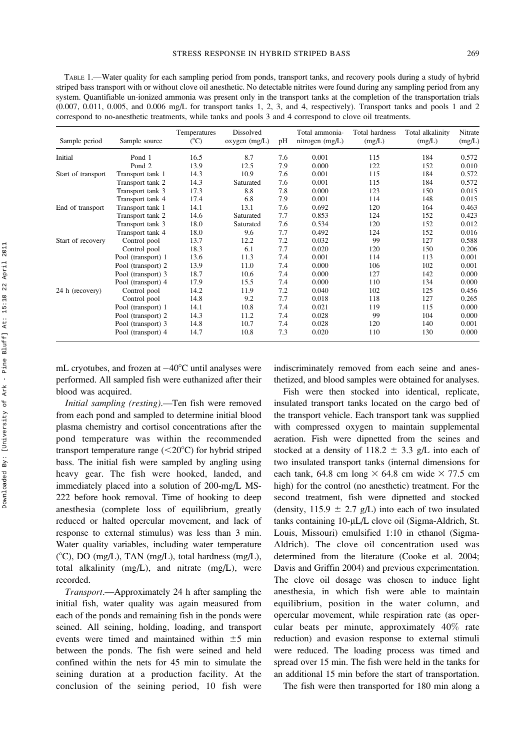TABLE 1.—Water quality for each sampling period from ponds, transport tanks, and recovery pools during a study of hybrid striped bass transport with or without clove oil anesthetic. No detectable nitrites were found during any sampling period from any system. Quantifiable un-ionized ammonia was present only in the transport tanks at the completion of the transportation trials (0.007, 0.011, 0.005, and 0.006 mg/L for transport tanks 1, 2, 3, and 4, respectively). Transport tanks and pools 1 and 2 correspond to no-anesthetic treatments, while tanks and pools 3 and 4 correspond to clove oil treatments.

| Sample period      | Sample source      | Temperatures<br>$(^{\circ}C)$ | Dissolved<br>oxygen (mg/L) | pH  | Total ammonia-<br>nitrogen $(mg/L)$ | Total hardness<br>(mg/L) | Total alkalinity<br>(mg/L) | Nitrate<br>(mg/L) |
|--------------------|--------------------|-------------------------------|----------------------------|-----|-------------------------------------|--------------------------|----------------------------|-------------------|
| Initial            | Pond 1             | 16.5                          | 8.7                        | 7.6 | 0.001                               | 115                      | 184                        | 0.572             |
|                    | Pond 2             | 13.9                          | 12.5                       | 7.9 | 0.000                               | 122                      | 152                        | 0.010             |
| Start of transport | Transport tank 1   | 14.3                          | 10.9                       | 7.6 | 0.001                               | 115                      | 184                        | 0.572             |
|                    | Transport tank 2   | 14.3                          | Saturated                  | 7.6 | 0.001                               | 115                      | 184                        | 0.572             |
|                    | Transport tank 3   | 17.3                          | 8.8                        | 7.8 | 0.000                               | 123                      | 150                        | 0.015             |
|                    | Transport tank 4   | 17.4                          | 6.8                        | 7.9 | 0.001                               | 114                      | 148                        | 0.015             |
| End of transport   | Transport tank 1   | 14.1                          | 13.1                       | 7.6 | 0.692                               | 120                      | 164                        | 0.463             |
|                    | Transport tank 2   | 14.6                          | Saturated                  | 7.7 | 0.853                               | 124                      | 152                        | 0.423             |
|                    | Transport tank 3   | 18.0                          | Saturated                  | 7.6 | 0.534                               | 120                      | 152                        | 0.012             |
|                    | Transport tank 4   | 18.0                          | 9.6                        | 7.7 | 0.492                               | 124                      | 152                        | 0.016             |
| Start of recovery  | Control pool       | 13.7                          | 12.2                       | 7.2 | 0.032                               | 99                       | 127                        | 0.588             |
|                    | Control pool       | 18.3                          | 6.1                        | 7.7 | 0.020                               | 120                      | 150                        | 0.206             |
|                    | Pool (transport) 1 | 13.6                          | 11.3                       | 7.4 | 0.001                               | 114                      | 113                        | 0.001             |
|                    | Pool (transport) 2 | 13.9                          | 11.0                       | 7.4 | 0.000                               | 106                      | 102                        | 0.001             |
|                    | Pool (transport) 3 | 18.7                          | 10.6                       | 7.4 | 0.000                               | 127                      | 142                        | 0.000             |
|                    | Pool (transport) 4 | 17.9                          | 15.5                       | 7.4 | 0.000                               | 110                      | 134                        | 0.000             |
| 24 h (recovery)    | Control pool       | 14.2                          | 11.9                       | 7.2 | 0.040                               | 102                      | 125                        | 0.456             |
|                    | Control pool       | 14.8                          | 9.2                        | 7.7 | 0.018                               | 118                      | 127                        | 0.265             |
|                    | Pool (transport) 1 | 14.1                          | 10.8                       | 7.4 | 0.021                               | 119                      | 115                        | 0.000             |
|                    | Pool (transport) 2 | 14.3                          | 11.2                       | 7.4 | 0.028                               | 99                       | 104                        | 0.000             |
|                    | Pool (transport) 3 | 14.8                          | 10.7                       | 7.4 | 0.028                               | 120                      | 140                        | 0.001             |
|                    | Pool (transport) 4 | 14.7                          | 10.8                       | 7.3 | 0.020                               | 110                      | 130                        | 0.000             |

mL cryotubes, and frozen at  $-40^{\circ}$ C until analyses were performed. All sampled fish were euthanized after their blood was acquired.

Initial sampling (resting).—Ten fish were removed from each pond and sampled to determine initial blood plasma chemistry and cortisol concentrations after the pond temperature was within the recommended transport temperature range  $(<20^{\circ}C$ ) for hybrid striped bass. The initial fish were sampled by angling using heavy gear. The fish were hooked, landed, and immediately placed into a solution of 200-mg/L MS-222 before hook removal. Time of hooking to deep anesthesia (complete loss of equilibrium, greatly reduced or halted opercular movement, and lack of response to external stimulus) was less than 3 min. Water quality variables, including water temperature  $(^{\circ}C)$ , DO (mg/L), TAN (mg/L), total hardness (mg/L), total alkalinity (mg/L), and nitrate (mg/L), were recorded.

Transport.—Approximately 24 h after sampling the initial fish, water quality was again measured from each of the ponds and remaining fish in the ponds were seined. All seining, holding, loading, and transport events were timed and maintained within  $\pm 5$  min between the ponds. The fish were seined and held confined within the nets for 45 min to simulate the seining duration at a production facility. At the conclusion of the seining period, 10 fish were

indiscriminately removed from each seine and anesthetized, and blood samples were obtained for analyses.

Fish were then stocked into identical, replicate, insulated transport tanks located on the cargo bed of the transport vehicle. Each transport tank was supplied with compressed oxygen to maintain supplemental aeration. Fish were dipnetted from the seines and stocked at a density of 118.2  $\pm$  3.3 g/L into each of two insulated transport tanks (internal dimensions for each tank, 64.8 cm long  $\times$  64.8 cm wide  $\times$  77.5 cm high) for the control (no anesthetic) treatment. For the second treatment, fish were dipnetted and stocked (density,  $115.9 \pm 2.7$  g/L) into each of two insulated tanks containing 10-µL/L clove oil (Sigma-Aldrich, St. Louis, Missouri) emulsified 1:10 in ethanol (Sigma-Aldrich). The clove oil concentration used was determined from the literature (Cooke et al. 2004; Davis and Griffin 2004) and previous experimentation. The clove oil dosage was chosen to induce light anesthesia, in which fish were able to maintain equilibrium, position in the water column, and opercular movement, while respiration rate (as opercular beats per minute, approximately 40% rate reduction) and evasion response to external stimuli were reduced. The loading process was timed and spread over 15 min. The fish were held in the tanks for an additional 15 min before the start of transportation.

The fish were then transported for 180 min along a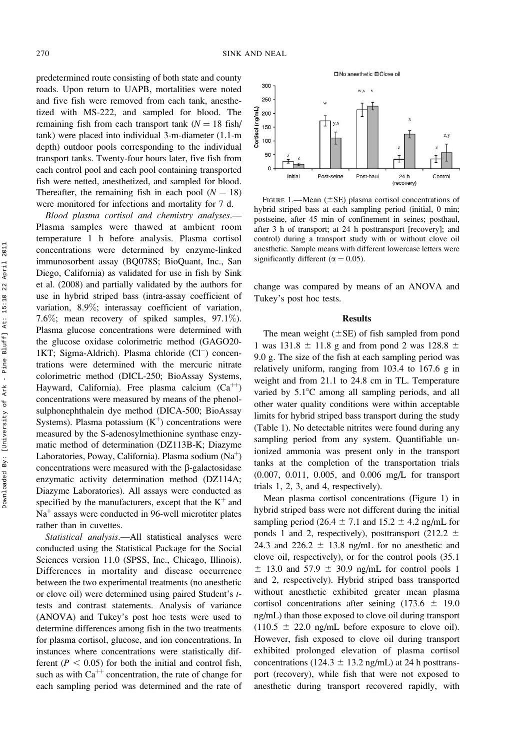predetermined route consisting of both state and county roads. Upon return to UAPB, mortalities were noted and five fish were removed from each tank, anesthetized with MS-222, and sampled for blood. The remaining fish from each transport tank  $(N = 18 \text{ fish})$ tank) were placed into individual 3-m-diameter (1.1-m depth) outdoor pools corresponding to the individual transport tanks. Twenty-four hours later, five fish from each control pool and each pool containing transported fish were netted, anesthetized, and sampled for blood. Thereafter, the remaining fish in each pool  $(N = 18)$ were monitored for infections and mortality for 7 d.

Blood plasma cortisol and chemistry analyses.— Plasma samples were thawed at ambient room temperature 1 h before analysis. Plasma cortisol concentrations were determined by enzyme-linked immunosorbent assay (BQ078S; BioQuant, Inc., San Diego, California) as validated for use in fish by Sink et al. (2008) and partially validated by the authors for use in hybrid striped bass (intra-assay coefficient of variation, 8.9%; interassay coefficient of variation, 7.6%; mean recovery of spiked samples, 97.1%). Plasma glucose concentrations were determined with the glucose oxidase colorimetric method (GAGO20- 1KT; Sigma-Aldrich). Plasma chloride (Cl<sup>-</sup>) concentrations were determined with the mercuric nitrate colorimetric method (DICL-250; BioAssay Systems, Hayward, California). Free plasma calcium  $(Ca^{++})$ concentrations were measured by means of the phenolsulphonephthalein dye method (DICA-500; BioAssay Systems). Plasma potassium  $(K<sup>+</sup>)$  concentrations were measured by the S-adenosylmethionine synthase enzymatic method of determination (DZ113B-K; Diazyme Laboratories, Poway, California). Plasma sodium  $(Na^+)$ concentrations were measured with the  $\beta$ -galactosidase enzymatic activity determination method (DZ114A; Diazyme Laboratories). All assays were conducted as specified by the manufacturers, except that the  $K^+$  and  $Na<sup>+</sup>$  assays were conducted in 96-well microtiter plates rather than in cuvettes.

Statistical analysis.—All statistical analyses were conducted using the Statistical Package for the Social Sciences version 11.0 (SPSS, Inc., Chicago, Illinois). Differences in mortality and disease occurrence between the two experimental treatments (no anesthetic or clove oil) were determined using paired Student's ttests and contrast statements. Analysis of variance (ANOVA) and Tukey's post hoc tests were used to determine differences among fish in the two treatments for plasma cortisol, glucose, and ion concentrations. In instances where concentrations were statistically different ( $P < 0.05$ ) for both the initial and control fish, such as with  $Ca^{++}$  concentration, the rate of change for each sampling period was determined and the rate of



FIGURE 1.—Mean  $(\pm SE)$  plasma cortisol concentrations of hybrid striped bass at each sampling period (initial, 0 min; postseine, after 45 min of confinement in seines; posthaul, after 3 h of transport; at 24 h posttransport [recovery]; and control) during a transport study with or without clove oil anesthetic. Sample means with different lowercase letters were significantly different ( $\alpha = 0.05$ ).

change was compared by means of an ANOVA and Tukey's post hoc tests.

#### **Results**

The mean weight  $(\pm SE)$  of fish sampled from pond 1 was 131.8  $\pm$  11.8 g and from pond 2 was 128.8  $\pm$ 9.0 g. The size of the fish at each sampling period was relatively uniform, ranging from 103.4 to 167.6 g in weight and from 21.1 to 24.8 cm in TL. Temperature varied by  $5.1^{\circ}$ C among all sampling periods, and all other water quality conditions were within acceptable limits for hybrid striped bass transport during the study (Table 1). No detectable nitrites were found during any sampling period from any system. Quantifiable unionized ammonia was present only in the transport tanks at the completion of the transportation trials (0.007, 0.011, 0.005, and 0.006 mg/L for transport trials 1, 2, 3, and 4, respectively).

Mean plasma cortisol concentrations (Figure 1) in hybrid striped bass were not different during the initial sampling period (26.4  $\pm$  7.1 and 15.2  $\pm$  4.2 ng/mL for ponds 1 and 2, respectively), posttransport (212.2  $\pm$ 24.3 and 226.2  $\pm$  13.8 ng/mL for no anesthetic and clove oil, respectively), or for the control pools (35.1  $\pm$  13.0 and 57.9  $\pm$  30.9 ng/mL for control pools 1 and 2, respectively). Hybrid striped bass transported without anesthetic exhibited greater mean plasma cortisol concentrations after seining  $(173.6 \pm 19.0$ ng/mL) than those exposed to clove oil during transport  $(110.5 \pm 22.0 \text{ ng/mL}$  before exposure to clove oil). However, fish exposed to clove oil during transport exhibited prolonged elevation of plasma cortisol concentrations (124.3  $\pm$  13.2 ng/mL) at 24 h posttransport (recovery), while fish that were not exposed to anesthetic during transport recovered rapidly, with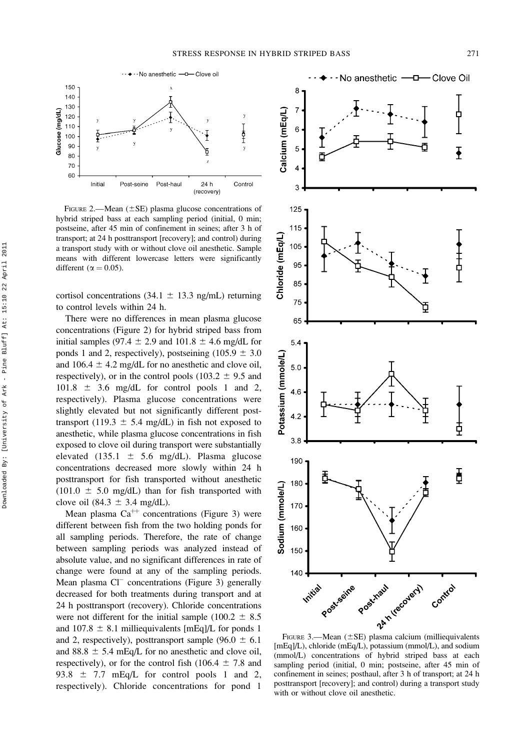

FIGURE 2.—Mean  $(\pm SE)$  plasma glucose concentrations of hybrid striped bass at each sampling period (initial, 0 min; postseine, after 45 min of confinement in seines; after 3 h of transport; at 24 h posttransport [recovery]; and control) during a transport study with or without clove oil anesthetic. Sample means with different lowercase letters were significantly different ( $\alpha = 0.05$ ).

cortisol concentrations (34.1  $\pm$  13.3 ng/mL) returning to control levels within 24 h.

There were no differences in mean plasma glucose concentrations (Figure 2) for hybrid striped bass from initial samples (97.4  $\pm$  2.9 and 101.8  $\pm$  4.6 mg/dL for ponds 1 and 2, respectively), postseining (105.9  $\pm$  3.0 and 106.4  $\pm$  4.2 mg/dL for no anesthetic and clove oil, respectively), or in the control pools (103.2  $\pm$  9.5 and  $101.8 \pm 3.6$  mg/dL for control pools 1 and 2, respectively). Plasma glucose concentrations were slightly elevated but not significantly different posttransport (119.3  $\pm$  5.4 mg/dL) in fish not exposed to anesthetic, while plasma glucose concentrations in fish exposed to clove oil during transport were substantially elevated (135.1  $\pm$  5.6 mg/dL). Plasma glucose concentrations decreased more slowly within 24 h posttransport for fish transported without anesthetic  $(101.0 \pm 5.0 \text{ mg/dL})$  than for fish transported with clove oil (84.3  $\pm$  3.4 mg/dL).

Mean plasma  $Ca^{++}$  concentrations (Figure 3) were different between fish from the two holding ponds for all sampling periods. Therefore, the rate of change between sampling periods was analyzed instead of absolute value, and no significant differences in rate of change were found at any of the sampling periods. Mean plasma Cl<sup>-</sup> concentrations (Figure 3) generally decreased for both treatments during transport and at 24 h posttransport (recovery). Chloride concentrations were not different for the initial sample (100.2  $\pm$  8.5 and 107.8  $\pm$  8.1 milliequivalents [mEq]/L for ponds 1 and 2, respectively), posttransport sample (96.0  $\pm$  6.1 and 88.8  $\pm$  5.4 mEq/L for no anesthetic and clove oil, respectively), or for the control fish (106.4  $\pm$  7.8 and 93.8  $\pm$  7.7 mEq/L for control pools 1 and 2, respectively). Chloride concentrations for pond 1



[mEq]/L), chloride (mEq/L), potassium (mmol/L), and sodium (mmol/L) concentrations of hybrid striped bass at each sampling period (initial, 0 min; postseine, after 45 min of confinement in seines; posthaul, after 3 h of transport; at 24 h posttransport [recovery]; and control) during a transport study with or without clove oil anesthetic.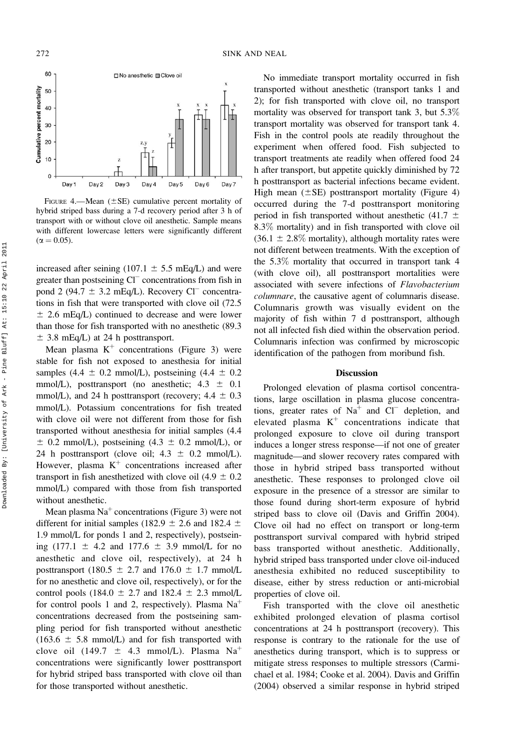

FIGURE 4.—Mean  $(\pm SE)$  cumulative percent mortality of hybrid striped bass during a 7-d recovery period after 3 h of transport with or without clove oil anesthetic. Sample means with different lowercase letters were significantly different  $(\alpha = 0.05)$ .

increased after seining (107.1  $\pm$  5.5 mEq/L) and were greater than postseining Cl<sup>-</sup> concentrations from fish in pond 2 (94.7  $\pm$  3.2 mEq/L). Recovery Cl<sup>-</sup> concentrations in fish that were transported with clove oil (72.5  $\pm$  2.6 mEq/L) continued to decrease and were lower than those for fish transported with no anesthetic (89.3  $\pm$  3.8 mEq/L) at 24 h posttransport.

Mean plasma  $K^+$  concentrations (Figure 3) were stable for fish not exposed to anesthesia for initial samples (4.4  $\pm$  0.2 mmol/L), postseining (4.4  $\pm$  0.2 mmol/L), posttransport (no anesthetic;  $4.3 \pm 0.1$ mmol/L), and 24 h posttransport (recovery;  $4.4 \pm 0.3$ mmol/L). Potassium concentrations for fish treated with clove oil were not different from those for fish transported without anesthesia for initial samples (4.4  $\pm$  0.2 mmol/L), postseining (4.3  $\pm$  0.2 mmol/L), or 24 h posttransport (clove oil;  $4.3 \pm 0.2$  mmol/L). However, plasma  $K^+$  concentrations increased after transport in fish anesthetized with clove oil (4.9  $\pm$  0.2 mmol/L) compared with those from fish transported without anesthetic.

Mean plasma  $Na<sup>+</sup>$  concentrations (Figure 3) were not different for initial samples (182.9  $\pm$  2.6 and 182.4  $\pm$ 1.9 mmol/L for ponds 1 and 2, respectively), postseining (177.1  $\pm$  4.2 and 177.6  $\pm$  3.9 mmol/L for no anesthetic and clove oil, respectively), at 24 h posttransport (180.5  $\pm$  2.7 and 176.0  $\pm$  1.7 mmol/L for no anesthetic and clove oil, respectively), or for the control pools (184.0  $\pm$  2.7 and 182.4  $\pm$  2.3 mmol/L for control pools 1 and 2, respectively). Plasma  $Na<sup>+</sup>$ concentrations decreased from the postseining sampling period for fish transported without anesthetic  $(163.6 \pm 5.8 \text{ mmol/L})$  and for fish transported with clove oil (149.7  $\pm$  4.3 mmol/L). Plasma Na<sup>+</sup> concentrations were significantly lower posttransport for hybrid striped bass transported with clove oil than for those transported without anesthetic.

No immediate transport mortality occurred in fish transported without anesthetic (transport tanks 1 and 2); for fish transported with clove oil, no transport mortality was observed for transport tank 3, but 5.3% transport mortality was observed for transport tank 4. Fish in the control pools ate readily throughout the experiment when offered food. Fish subjected to transport treatments ate readily when offered food 24 h after transport, but appetite quickly diminished by 72 h posttransport as bacterial infections became evident. High mean  $(\pm SE)$  posttransport mortality (Figure 4) occurred during the 7-d posttransport monitoring period in fish transported without anesthetic (41.7  $\pm$ 8.3% mortality) and in fish transported with clove oil  $(36.1 \pm 2.8\%$  mortality), although mortality rates were not different between treatments. With the exception of the 5.3% mortality that occurred in transport tank 4 (with clove oil), all posttransport mortalities were associated with severe infections of Flavobacterium columnare, the causative agent of columnaris disease. Columnaris growth was visually evident on the majority of fish within 7 d posttransport, although not all infected fish died within the observation period. Columnaris infection was confirmed by microscopic identification of the pathogen from moribund fish.

#### Discussion

Prolonged elevation of plasma cortisol concentrations, large oscillation in plasma glucose concentrations, greater rates of  $Na<sup>+</sup>$  and  $Cl<sup>-</sup>$  depletion, and elevated plasma  $K^+$  concentrations indicate that prolonged exposure to clove oil during transport induces a longer stress response—if not one of greater magnitude—and slower recovery rates compared with those in hybrid striped bass transported without anesthetic. These responses to prolonged clove oil exposure in the presence of a stressor are similar to those found during short-term exposure of hybrid striped bass to clove oil (Davis and Griffin 2004). Clove oil had no effect on transport or long-term posttransport survival compared with hybrid striped bass transported without anesthetic. Additionally, hybrid striped bass transported under clove oil-induced anesthesia exhibited no reduced susceptibility to disease, either by stress reduction or anti-microbial properties of clove oil.

Fish transported with the clove oil anesthetic exhibited prolonged elevation of plasma cortisol concentrations at 24 h posttransport (recovery). This response is contrary to the rationale for the use of anesthetics during transport, which is to suppress or mitigate stress responses to multiple stressors (Carmichael et al. 1984; Cooke et al. 2004). Davis and Griffin (2004) observed a similar response in hybrid striped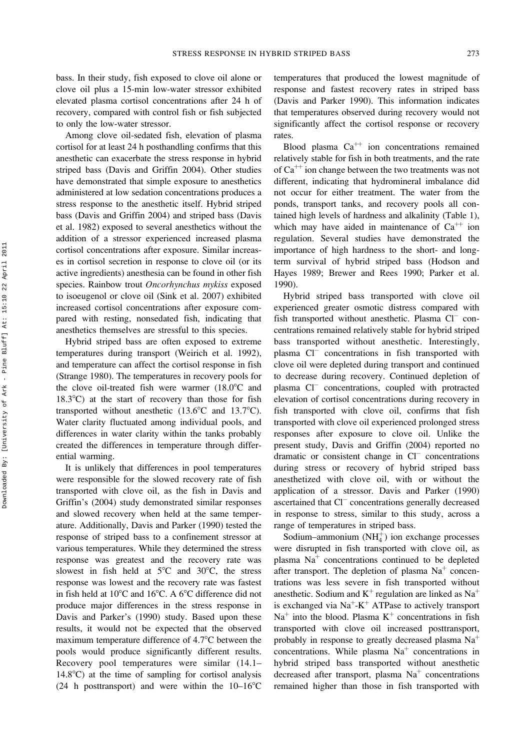bass. In their study, fish exposed to clove oil alone or clove oil plus a 15-min low-water stressor exhibited elevated plasma cortisol concentrations after 24 h of recovery, compared with control fish or fish subjected to only the low-water stressor.

Among clove oil-sedated fish, elevation of plasma cortisol for at least 24 h posthandling confirms that this anesthetic can exacerbate the stress response in hybrid striped bass (Davis and Griffin 2004). Other studies have demonstrated that simple exposure to anesthetics administered at low sedation concentrations produces a stress response to the anesthetic itself. Hybrid striped bass (Davis and Griffin 2004) and striped bass (Davis et al. 1982) exposed to several anesthetics without the addition of a stressor experienced increased plasma cortisol concentrations after exposure. Similar increases in cortisol secretion in response to clove oil (or its active ingredients) anesthesia can be found in other fish species. Rainbow trout Oncorhynchus mykiss exposed to isoeugenol or clove oil (Sink et al. 2007) exhibited increased cortisol concentrations after exposure compared with resting, nonsedated fish, indicating that anesthetics themselves are stressful to this species.

Hybrid striped bass are often exposed to extreme temperatures during transport (Weirich et al. 1992), and temperature can affect the cortisol response in fish (Strange 1980). The temperatures in recovery pools for the clove oil-treated fish were warmer  $(18.0^{\circ}$ C and  $18.3^{\circ}$ C) at the start of recovery than those for fish transported without anesthetic  $(13.6^{\circ}$ C and  $13.7^{\circ}$ C). Water clarity fluctuated among individual pools, and differences in water clarity within the tanks probably created the differences in temperature through differential warming.

It is unlikely that differences in pool temperatures were responsible for the slowed recovery rate of fish transported with clove oil, as the fish in Davis and Griffin's (2004) study demonstrated similar responses and slowed recovery when held at the same temperature. Additionally, Davis and Parker (1990) tested the response of striped bass to a confinement stressor at various temperatures. While they determined the stress response was greatest and the recovery rate was slowest in fish held at  $5^{\circ}$ C and  $30^{\circ}$ C, the stress response was lowest and the recovery rate was fastest in fish held at  $10^{\circ}$ C and  $16^{\circ}$ C. A  $6^{\circ}$ C difference did not produce major differences in the stress response in Davis and Parker's (1990) study. Based upon these results, it would not be expected that the observed maximum temperature difference of  $4.7^{\circ}$ C between the pools would produce significantly different results. Recovery pool temperatures were similar (14.1–  $14.8^{\circ}$ C) at the time of sampling for cortisol analysis (24 h posttransport) and were within the  $10-16^{\circ}$ C

temperatures that produced the lowest magnitude of response and fastest recovery rates in striped bass (Davis and Parker 1990). This information indicates that temperatures observed during recovery would not significantly affect the cortisol response or recovery rates.

Blood plasma  $Ca^{++}$  ion concentrations remained relatively stable for fish in both treatments, and the rate of  $Ca^{++}$  ion change between the two treatments was not different, indicating that hydromineral imbalance did not occur for either treatment. The water from the ponds, transport tanks, and recovery pools all contained high levels of hardness and alkalinity (Table 1), which may have aided in maintenance of  $Ca^{++}$  ion regulation. Several studies have demonstrated the importance of high hardness to the short- and longterm survival of hybrid striped bass (Hodson and Hayes 1989; Brewer and Rees 1990; Parker et al. 1990).

Hybrid striped bass transported with clove oil experienced greater osmotic distress compared with fish transported without anesthetic. Plasma Cl<sup>-</sup> concentrations remained relatively stable for hybrid striped bass transported without anesthetic. Interestingly, plasma Cl<sup>-</sup> concentrations in fish transported with clove oil were depleted during transport and continued to decrease during recovery. Continued depletion of plasma Cl<sup>-</sup> concentrations, coupled with protracted elevation of cortisol concentrations during recovery in fish transported with clove oil, confirms that fish transported with clove oil experienced prolonged stress responses after exposure to clove oil. Unlike the present study, Davis and Griffin (2004) reported no dramatic or consistent change in Cl<sup>-</sup> concentrations during stress or recovery of hybrid striped bass anesthetized with clove oil, with or without the application of a stressor. Davis and Parker (1990) ascertained that Cl<sup>-</sup> concentrations generally decreased in response to stress, similar to this study, across a range of temperatures in striped bass.

Sodium–ammonium  $(NH_4^+)$  ion exchange processes were disrupted in fish transported with clove oil, as plasma  $Na<sup>+</sup>$  concentrations continued to be depleted after transport. The depletion of plasma  $Na<sup>+</sup>$  concentrations was less severe in fish transported without anesthetic. Sodium and  $K^+$  regulation are linked as Na<sup>+</sup> is exchanged via  $Na^+K^+$  ATPase to actively transport  $Na<sup>+</sup>$  into the blood. Plasma  $K<sup>+</sup>$  concentrations in fish transported with clove oil increased posttransport, probably in response to greatly decreased plasma  $Na<sup>+</sup>$ concentrations. While plasma  $Na<sup>+</sup>$  concentrations in hybrid striped bass transported without anesthetic decreased after transport, plasma  $Na<sup>+</sup>$  concentrations remained higher than those in fish transported with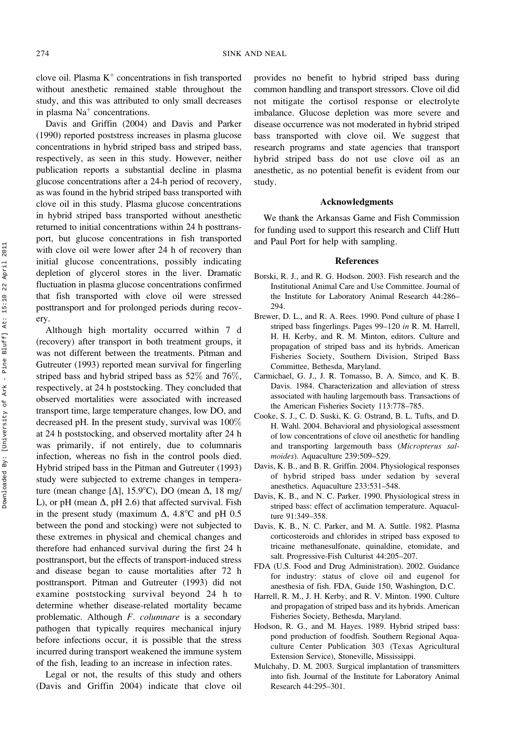clove oil. Plasma  $K^+$  concentrations in fish transported without anesthetic remained stable throughout the study, and this was attributed to only small decreases in plasma  $Na<sup>+</sup>$  concentrations.

Davis and Griffin (2004) and Davis and Parker (1990) reported poststress increases in plasma glucose concentrations in hybrid striped bass and striped bass, respectively, as seen in this study. However, neither publication reports a substantial decline in plasma glucose concentrations after a 24-h period of recovery, as was found in the hybrid striped bass transported with clove oil in this study. Plasma glucose concentrations in hybrid striped bass transported without anesthetic returned to initial concentrations within 24 h posttransport, but glucose concentrations in fish transported with clove oil were lower after 24 h of recovery than initial glucose concentrations, possibly indicating depletion of glycerol stores in the liver. Dramatic fluctuation in plasma glucose concentrations confirmed that fish transported with clove oil were stressed posttransport and for prolonged periods during recovery.

Although high mortality occurred within 7 d (recovery) after transport in both treatment groups, it was not different between the treatments. Pitman and Gutreuter (1993) reported mean survival for fingerling striped bass and hybrid striped bass as 52% and 76%, respectively, at 24 h poststocking. They concluded that observed mortalities were associated with increased transport time, large temperature changes, low DO, and decreased pH. In the present study, survival was 100% at 24 h poststocking, and observed mortality after 24 h was primarily, if not entirely, due to columnaris infection, whereas no fish in the control pools died. Hybrid striped bass in the Pitman and Gutreuter (1993) study were subjected to extreme changes in temperature (mean change [ $\Delta$ ], 15.9°C), DO (mean  $\Delta$ , 18 mg/ L), or pH (mean  $\Delta$ , pH 2.6) that affected survival. Fish in the present study (maximum  $\Delta$ , 4.8°C and pH 0.5 between the pond and stocking) were not subjected to these extremes in physical and chemical changes and therefore had enhanced survival during the first 24 h posttransport, but the effects of transport-induced stress and disease began to cause mortalities after 72 h posttransport. Pitman and Gutreuter (1993) did not examine poststocking survival beyond 24 h to determine whether disease-related mortality became problematic. Although F. columnare is a secondary pathogen that typically requires mechanical injury before infections occur, it is possible that the stress incurred during transport weakened the immune system of the fish, leading to an increase in infection rates.

Legal or not, the results of this study and others (Davis and Griffin 2004) indicate that clove oil provides no benefit to hybrid striped bass during common handling and transport stressors. Clove oil did not mitigate the cortisol response or electrolyte imbalance. Glucose depletion was more severe and disease occurrence was not moderated in hybrid striped bass transported with clove oil. We suggest that research programs and state agencies that transport hybrid striped bass do not use clove oil as an anesthetic, as no potential benefit is evident from our study.

### Acknowledgments

We thank the Arkansas Game and Fish Commission for funding used to support this research and Cliff Hutt and Paul Port for help with sampling.

#### References

- Borski, R. J., and R. G. Hodson. 2003. Fish research and the Institutional Animal Care and Use Committee. Journal of the Institute for Laboratory Animal Research 44:286– 294.
- Brewer, D. L., and R. A. Rees. 1990. Pond culture of phase I striped bass fingerlings. Pages 99–120 in R. M. Harrell, H. H. Kerby, and R. M. Minton, editors. Culture and propagation of striped bass and its hybrids. American Fisheries Society, Southern Division, Striped Bass Committee, Bethesda, Maryland.
- Carmichael, G. J., J. R. Tomasso, B. A. Simco, and K. B. Davis. 1984. Characterization and alleviation of stress associated with hauling largemouth bass. Transactions of the American Fisheries Society 113:778–785.
- Cooke, S. J., C. D. Suski, K. G. Ostrand, B. L. Tufts, and D. H. Wahl. 2004. Behavioral and physiological assessment of low concentrations of clove oil anesthetic for handling and transporting largemouth bass (Micropterus salmoides). Aquaculture 239:509–529.
- Davis, K. B., and B. R. Griffin. 2004. Physiological responses of hybrid striped bass under sedation by several anesthetics. Aquaculture 233:531–548.
- Davis, K. B., and N. C. Parker. 1990. Physiological stress in striped bass: effect of acclimation temperature. Aquaculture 91:349–358.
- Davis, K. B., N. C. Parker, and M. A. Suttle. 1982. Plasma corticosteroids and chlorides in striped bass exposed to tricaine methanesulfonate, quinaldine, etomidate, and salt. Progressive-Fish Culturist 44:205–207.
- FDA (U.S. Food and Drug Administration). 2002. Guidance for industry: status of clove oil and eugenol for anesthesia of fish. FDA, Guide 150, Washington, D.C.
- Harrell, R. M., J. H. Kerby, and R. V. Minton. 1990. Culture and propagation of striped bass and its hybrids. American Fisheries Society, Bethesda, Maryland.
- Hodson, R. G., and M. Hayes. 1989. Hybrid striped bass: pond production of foodfish. Southern Regional Aquaculture Center Publication 303 (Texas Agricultural Extension Service), Stoneville, Mississippi.
- Mulchahy, D. M. 2003. Surgical implantation of transmitters into fish. Journal of the Institute for Laboratory Animal Research 44:295–301.